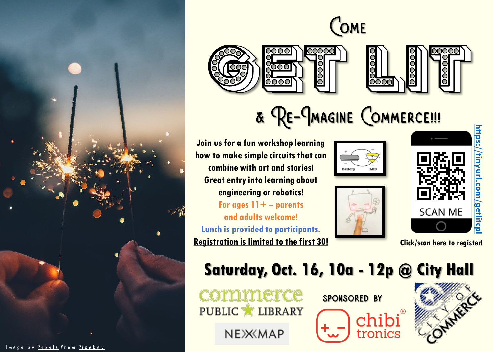









& RE-JMAGINE COMMERCE !!!

**Join us for a fun workshop learning how to make simple circuits that can combine with art and stories! Great entry into learning about engineering or robotics! For ages 11+ -- parents** 

**and adults welcome! Lunch is provided to participants. Registration is limited to the first 30! Click/scan here to register!**







### **Saturday, Oct. 16, 10a - 12p @ City Hall**

commerce PUBLIC LIBRARY

NEXXMAP





Image by <u>Pexels</u> from Pixabay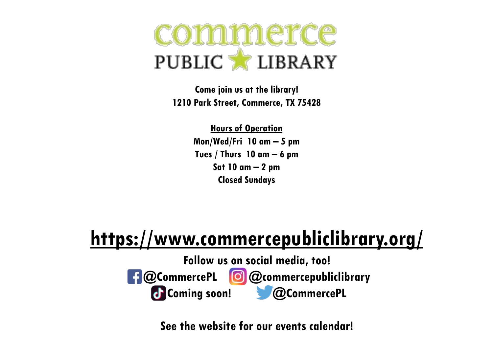## commerce PUBLIC LIBRARY

**Come join us at the library! 1210 Park Street, Commerce, TX 75428**

> **Hours of Operation Mon/Wed/Fri 10 am – 5 pm Tues / Thurs 10 am – 6 pm Sat 10 am – 2 pm Closed Sundays**

### **<https://www.commercepubliclibrary.org/>**

**Follow us on social media, too! @CommercePL @commercepubliclibrary Coming soon! @CommercePL**

**See the website for our events calendar!**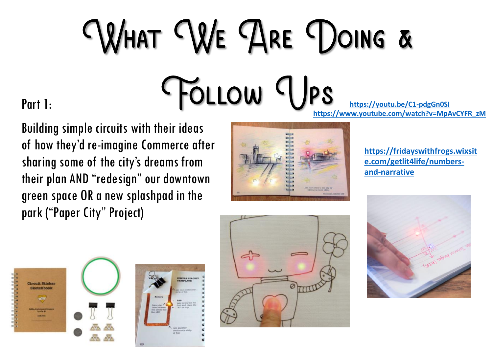# WHAT WE ARE DOING & FOLLOW VPS

Part 1:

Building simple circuits with their ideas of how they'd re -imagine Commerce after sharing some of the city's dreams from their plan AND "redesign" our downtown green space OR a new splashpad in the park ("Paper City" Project)



**[https://youtu.be/C1](https://youtu.be/C1-pdgGn0SI) -pdgGn0SI [https://www.youtube.com/watch?v=MpAvCYFR\\_zM](https://www.youtube.com/watch?v=MpAvCYFR_zM)**

> **[https://fridayswithfrogs.wixsit](https://fridayswithfrogs.wixsite.com/getlit4life/numbers-and-narrative) e.com/getlit4life/numbers and -narrative**





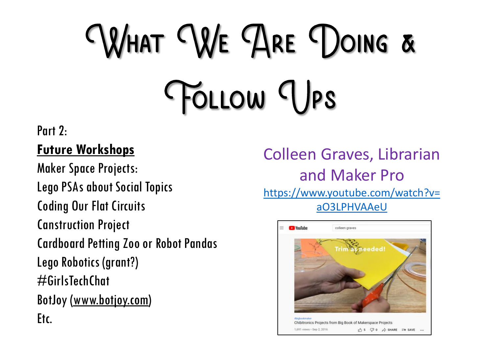## WHAT WE ARE DOING & FOLLOW TJPS

#### Part 2:

#### **Future Workshops**

Maker Space Projects: Lego PSAs about Social Topics Coding Our Flat Circuits Canstruction Project Cardboard Petting Zoo or Robot Pandas Lego Robotics (grant?) #GirlsTechChat BotJoy ([www.botjoy.com\)](http://www.botjoy.com/) Etc.

Colleen Graves, Librarian and Maker Pro [https://www.youtube.com/watch?v=](https://www.youtube.com/watch?v=aO3LPHVAAeU) aO3LPHVAAeU

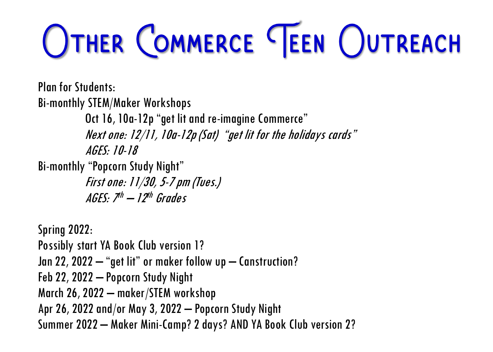## OTHER COMMERCE TEEN OUTREACH

Plan for Students: Bi-monthly STEM/Maker Workshops Oct 16, 10a-12p "get lit and re-imagine Commerce"

Next one: 12/11, 10a-12p (Sat) "get lit for the holidays cards" AGES: 10-18

Bi-monthly "Popcorn Study Night"

First one: 11/30, 5-7 pm (Tues.) AGES: 7<sup>th</sup> — 12<sup>th</sup> Grades

Spring 2022: Possibly start YA Book Club version 1? Jan 22, 2022 – "get lit" or maker follow up – Canstruction? Feb 22, 2022 – Popcorn Study Night March 26, 2022 – maker/STEM workshop Apr 26, 2022 and/or May 3, 2022 – Popcorn Study Night Summer 2022 – Maker Mini-Camp? 2 days? AND YA Book Club version 2?